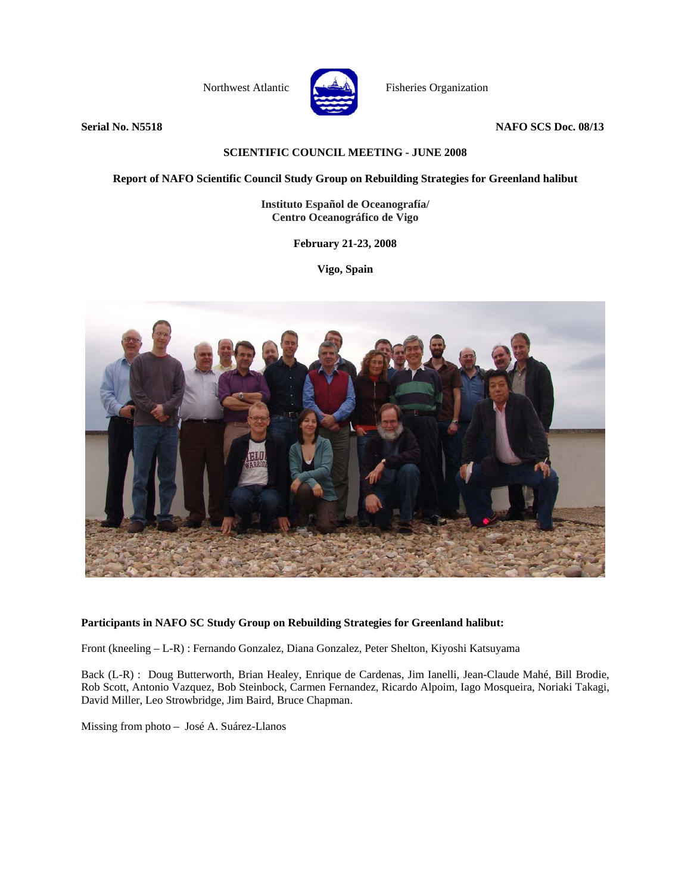

Northwest Atlantic Fisheries Organization

**Serial No. N5518 NAFO SCS Doc. 08/13** 

### **SCIENTIFIC COUNCIL MEETING - JUNE 2008**

**Report of NAFO Scientific Council Study Group on Rebuilding Strategies for Greenland halibut** 

**Instituto Español de Oceanografía/ Centro Oceanográfico de Vigo**

**February 21-23, 2008** 

**Vigo, Spain** 



#### **Participants in NAFO SC Study Group on Rebuilding Strategies for Greenland halibut:**

Front (kneeling – L-R) : Fernando Gonzalez, Diana Gonzalez, Peter Shelton, Kiyoshi Katsuyama

Back (L-R) : Doug Butterworth, Brian Healey, Enrique de Cardenas, Jim Ianelli, Jean-Claude Mahé, Bill Brodie, Rob Scott, Antonio Vazquez, Bob Steinbock, Carmen Fernandez, Ricardo Alpoim, Iago Mosqueira, Noriaki Takagi, David Miller, Leo Strowbridge, Jim Baird, Bruce Chapman.

Missing from photo – José A. Suárez-Llanos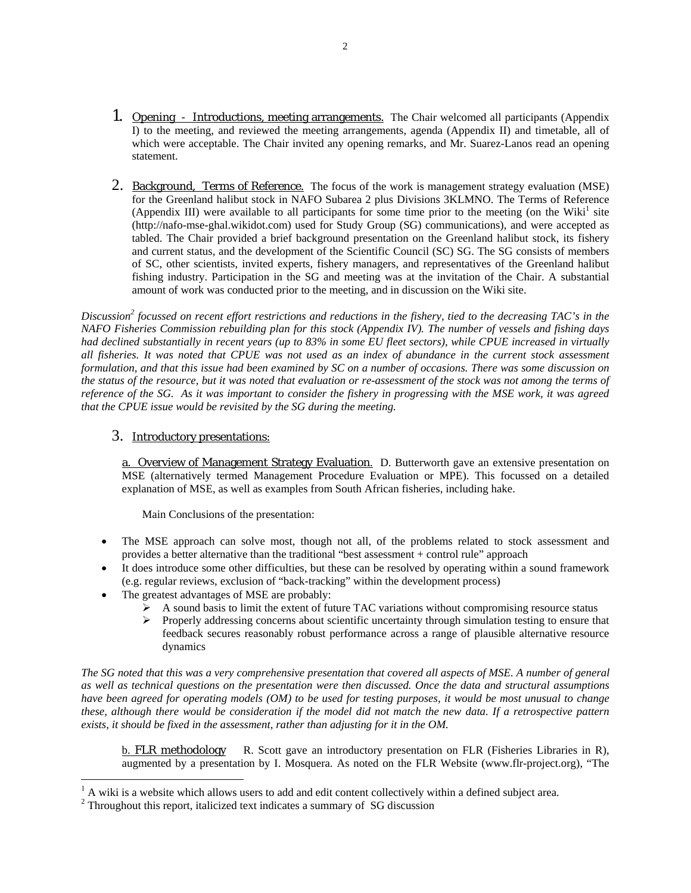- 1. Opening Introductions, meeting arrangements. The Chair welcomed all participants (Appendix I) to the meeting, and reviewed the meeting arrangements, agenda (Appendix II) and timetable, all of which were acceptable. The Chair invited any opening remarks, and Mr. Suarez-Lanos read an opening statement.
- 2. Background, Terms of Reference. The focus of the work is management strategy evaluation (MSE) for the Greenland halibut stock in NAFO Subarea 2 plus Divisions 3KLMNO. The Terms of Reference (Appendix III) were available to all participants for some time prior to the meeting (on the Wiki<sup>1</sup> site (http://nafo-mse-ghal.wikidot.com) used for Study Group (SG) communications), and were accepted as tabled. The Chair provided a brief background presentation on the Greenland halibut stock, its fishery and current status, and the development of the Scientific Council (SC) SG. The SG consists of members of SC, other scientists, invited experts, fishery managers, and representatives of the Greenland halibut fishing industry. Participation in the SG and meeting was at the invitation of the Chair. A substantial amount of work was conducted prior to the meeting, and in discussion on the Wiki site.

Discussion<sup>2</sup> focussed on recent effort restrictions and reductions in the fishery, tied to the decreasing TAC's in the *NAFO Fisheries Commission rebuilding plan for this stock (Appendix IV). The number of vessels and fishing days had declined substantially in recent years (up to 83% in some EU fleet sectors), while CPUE increased in virtually all fisheries. It was noted that CPUE was not used as an index of abundance in the current stock assessment formulation, and that this issue had been examined by SC on a number of occasions. There was some discussion on the status of the resource, but it was noted that evaluation or re-assessment of the stock was not among the terms of reference of the SG. As it was important to consider the fishery in progressing with the MSE work, it was agreed that the CPUE issue would be revisited by the SG during the meeting.* 

# 3. Introductory presentations:

a. Overview of Management Strategy Evaluation. D. Butterworth gave an extensive presentation on MSE (alternatively termed Management Procedure Evaluation or MPE). This focussed on a detailed explanation of MSE, as well as examples from South African fisheries, including hake.

Main Conclusions of the presentation:

- The MSE approach can solve most, though not all, of the problems related to stock assessment and provides a better alternative than the traditional "best assessment + control rule" approach
- It does introduce some other difficulties, but these can be resolved by operating within a sound framework (e.g. regular reviews, exclusion of "back-tracking" within the development process)
- The greatest advantages of MSE are probably:
	- $\triangleright$  A sound basis to limit the extent of future TAC variations without compromising resource status
	- ¾ Properly addressing concerns about scientific uncertainty through simulation testing to ensure that feedback secures reasonably robust performance across a range of plausible alternative resource dynamics

*The SG noted that this was a very comprehensive presentation that covered all aspects of MSE. A number of general as well as technical questions on the presentation were then discussed. Once the data and structural assumptions have been agreed for operating models (OM) to be used for testing purposes, it would be most unusual to change these, although there would be consideration if the model did not match the new data. If a retrospective pattern exists, it should be fixed in the assessment, rather than adjusting for it in the OM.* 

b. FLR methodology R. Scott gave an introductory presentation on FLR (Fisheries Libraries in R), augmented by a presentation by I. Mosquera. As noted on the FLR Website (www.flr-project.org), "The

<sup>&</sup>lt;sup>1</sup> A wiki is a website which allows users to add and edit content collectively within a defined subject area.

 $2$  Throughout this report, italicized text indicates a summary of SG discussion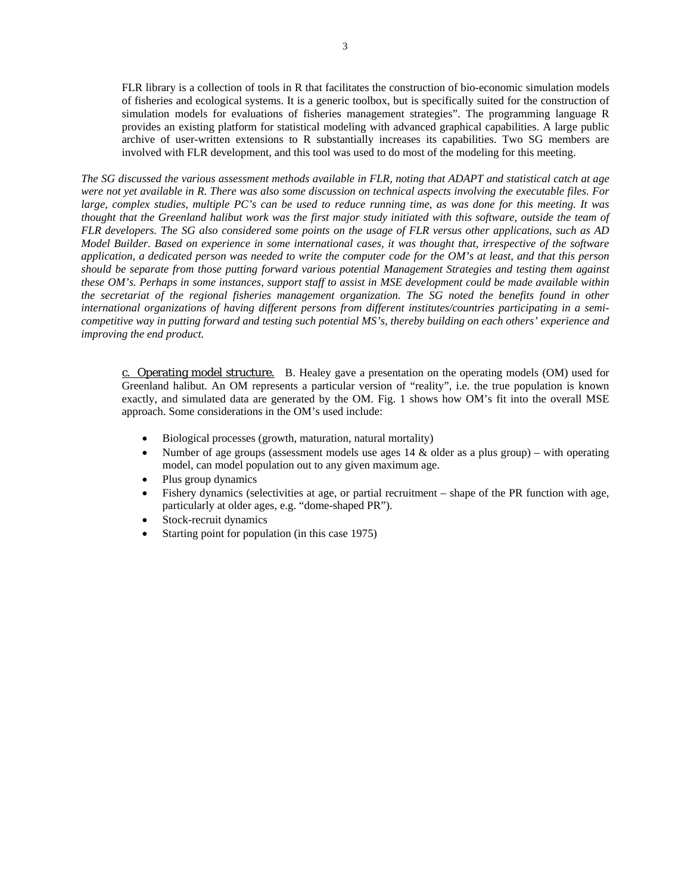FLR library is a collection of tools in R that facilitates the construction of bio-economic simulation models of fisheries and ecological systems. It is a generic toolbox, but is specifically suited for the construction of simulation models for evaluations of fisheries management strategies". The programming language R provides an existing platform for statistical modeling with advanced graphical capabilities. A large public archive of user-written extensions to R substantially increases its capabilities. Two SG members are involved with FLR development, and this tool was used to do most of the modeling for this meeting.

*The SG discussed the various assessment methods available in FLR, noting that ADAPT and statistical catch at age were not yet available in R. There was also some discussion on technical aspects involving the executable files. For large, complex studies, multiple PC's can be used to reduce running time, as was done for this meeting. It was thought that the Greenland halibut work was the first major study initiated with this software, outside the team of FLR developers. The SG also considered some points on the usage of FLR versus other applications, such as AD Model Builder. Based on experience in some international cases, it was thought that, irrespective of the software application, a dedicated person was needed to write the computer code for the OM's at least, and that this person should be separate from those putting forward various potential Management Strategies and testing them against these OM's. Perhaps in some instances, support staff to assist in MSE development could be made available within the secretariat of the regional fisheries management organization. The SG noted the benefits found in other international organizations of having different persons from different institutes/countries participating in a semicompetitive way in putting forward and testing such potential MS's, thereby building on each others' experience and improving the end product.* 

c. Operating model structure. B. Healey gave a presentation on the operating models (OM) used for Greenland halibut. An OM represents a particular version of "reality", i.e. the true population is known exactly, and simulated data are generated by the OM. Fig. 1 shows how OM's fit into the overall MSE approach. Some considerations in the OM's used include:

- Biological processes (growth, maturation, natural mortality)
- Number of age groups (assessment models use ages 14  $\&$  older as a plus group) with operating model, can model population out to any given maximum age.
- Plus group dynamics
- Fishery dynamics (selectivities at age, or partial recruitment shape of the PR function with age, particularly at older ages, e.g. "dome-shaped PR").
- Stock-recruit dynamics
- Starting point for population (in this case 1975)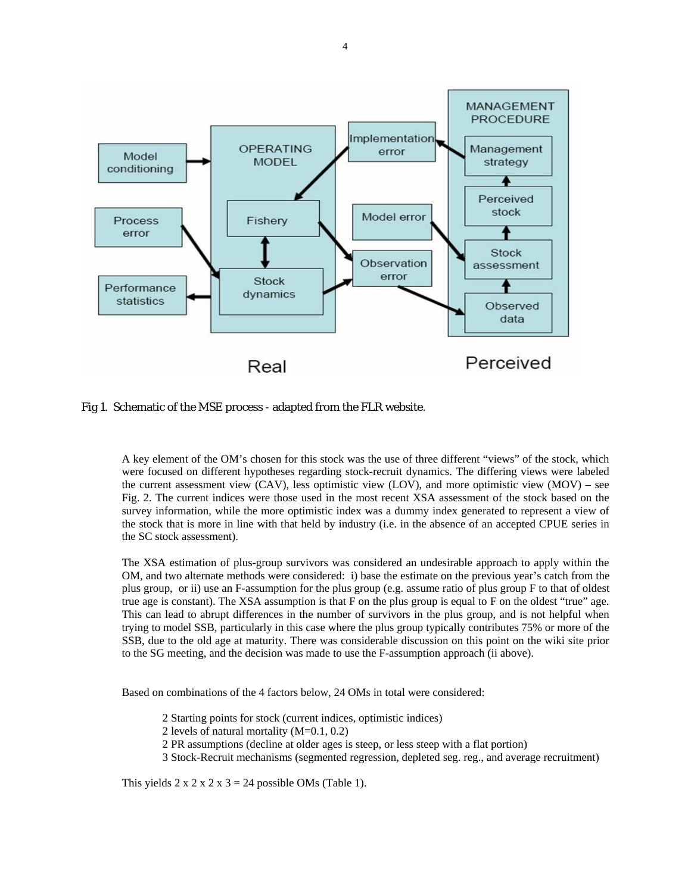

Fig 1. Schematic of the MSE process - adapted from the FLR website.

A key element of the OM's chosen for this stock was the use of three different "views" of the stock, which were focused on different hypotheses regarding stock-recruit dynamics. The differing views were labeled the current assessment view (CAV), less optimistic view (LOV), and more optimistic view (MOV) – see Fig. 2. The current indices were those used in the most recent XSA assessment of the stock based on the survey information, while the more optimistic index was a dummy index generated to represent a view of the stock that is more in line with that held by industry (i.e. in the absence of an accepted CPUE series in the SC stock assessment).

The XSA estimation of plus-group survivors was considered an undesirable approach to apply within the OM, and two alternate methods were considered: i) base the estimate on the previous year's catch from the plus group, or ii) use an F-assumption for the plus group (e.g. assume ratio of plus group F to that of oldest true age is constant). The XSA assumption is that F on the plus group is equal to F on the oldest "true" age. This can lead to abrupt differences in the number of survivors in the plus group, and is not helpful when trying to model SSB, particularly in this case where the plus group typically contributes 75% or more of the SSB, due to the old age at maturity. There was considerable discussion on this point on the wiki site prior to the SG meeting, and the decision was made to use the F-assumption approach (ii above).

Based on combinations of the 4 factors below, 24 OMs in total were considered:

- 2 Starting points for stock (current indices, optimistic indices)
- 2 levels of natural mortality (M=0.1, 0.2)
- 2 PR assumptions (decline at older ages is steep, or less steep with a flat portion)
- 3 Stock-Recruit mechanisms (segmented regression, depleted seg. reg., and average recruitment)

This yields  $2 \times 2 \times 2 \times 3 = 24$  possible OMs (Table 1).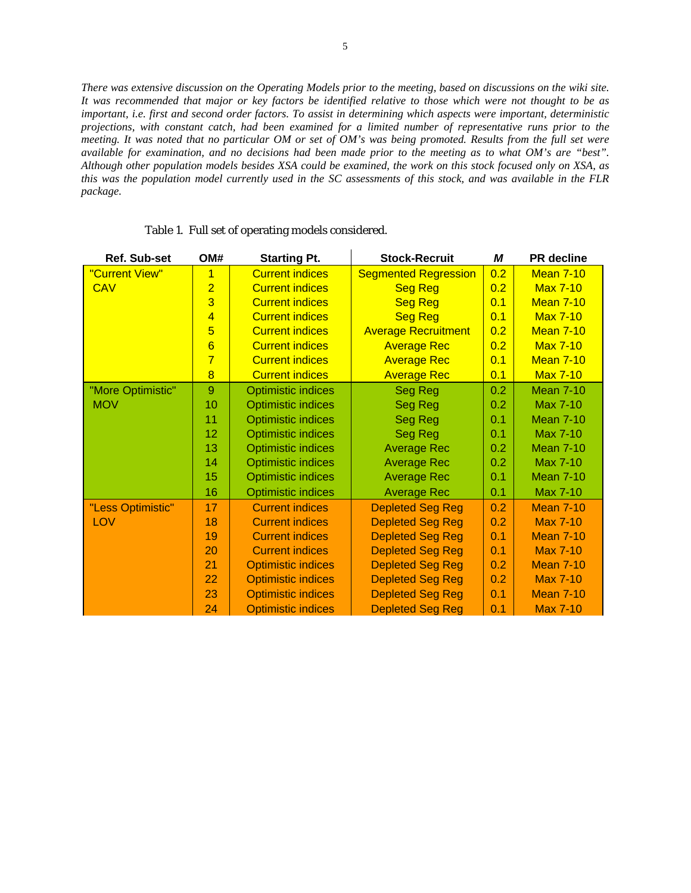*There was extensive discussion on the Operating Models prior to the meeting, based on discussions on the wiki site. It was recommended that major or key factors be identified relative to those which were not thought to be as important, i.e. first and second order factors. To assist in determining which aspects were important, deterministic projections, with constant catch, had been examined for a limited number of representative runs prior to the meeting. It was noted that no particular OM or set of OM's was being promoted. Results from the full set were available for examination, and no decisions had been made prior to the meeting as to what OM's are "best". Although other population models besides XSA could be examined, the work on this stock focused only on XSA, as this was the population model currently used in the SC assessments of this stock, and was available in the FLR package.* 

| <b>Ref. Sub-set</b>              | OM#             | <b>Starting Pt.</b>       | <b>Stock-Recruit</b>        | М   | <b>PR</b> decline |
|----------------------------------|-----------------|---------------------------|-----------------------------|-----|-------------------|
| "Current View"<br>$\overline{1}$ |                 | <b>Current indices</b>    | <b>Segmented Regression</b> | 0.2 | <b>Mean 7-10</b>  |
| <b>CAV</b>                       | $\overline{2}$  | <b>Current indices</b>    | <b>Seg Reg</b>              | 0.2 | <b>Max 7-10</b>   |
|                                  | 3               | <b>Current indices</b>    | <b>Seg Reg</b>              | 0.1 | <b>Mean 7-10</b>  |
|                                  | $\overline{4}$  | <b>Current indices</b>    | <b>Seg Reg</b>              | 0.1 | <b>Max 7-10</b>   |
|                                  | 5               | <b>Current indices</b>    | <b>Average Recruitment</b>  | 0.2 | <b>Mean 7-10</b>  |
|                                  | $6\overline{6}$ | <b>Current indices</b>    | <b>Average Rec</b>          | 0.2 | <b>Max 7-10</b>   |
|                                  | $\overline{7}$  | <b>Current indices</b>    | <b>Average Rec</b>          | 0.1 | <b>Mean 7-10</b>  |
|                                  | $\overline{8}$  | <b>Current indices</b>    | <b>Average Rec</b>          | 0.1 | <b>Max 7-10</b>   |
| "More Optimistic"                | 9               | <b>Optimistic indices</b> | <b>Seg Reg</b>              | 0.2 | <b>Mean 7-10</b>  |
| <b>MOV</b>                       | 10              | <b>Optimistic indices</b> | <b>Seg Reg</b>              | 0.2 | <b>Max 7-10</b>   |
|                                  | 11              | <b>Optimistic indices</b> | Seg Reg                     | 0.1 | <b>Mean 7-10</b>  |
|                                  | 12              | <b>Optimistic indices</b> | Seg Reg                     | 0.1 | <b>Max 7-10</b>   |
|                                  | 13              | <b>Optimistic indices</b> | <b>Average Rec</b>          | 0.2 | <b>Mean 7-10</b>  |
|                                  | 14              | <b>Optimistic indices</b> | <b>Average Rec</b>          | 0.2 | Max 7-10          |
|                                  | 15              | <b>Optimistic indices</b> | <b>Average Rec</b>          | 0.1 | <b>Mean 7-10</b>  |
|                                  | 16              | <b>Optimistic indices</b> | <b>Average Rec</b>          | 0.1 | Max 7-10          |
| "Less Optimistic"                | 17              | <b>Current indices</b>    | <b>Depleted Seg Reg</b>     | 0.2 | <b>Mean 7-10</b>  |
| <b>LOV</b>                       | 18              | <b>Current indices</b>    | <b>Depleted Seg Reg</b>     | 0.2 | <b>Max 7-10</b>   |
|                                  | 19              | <b>Current indices</b>    | <b>Depleted Seg Reg</b>     | 0.1 | <b>Mean 7-10</b>  |
|                                  | 20              | <b>Current indices</b>    | <b>Depleted Seg Reg</b>     | 0.1 | <b>Max 7-10</b>   |
|                                  | 21              | <b>Optimistic indices</b> | <b>Depleted Seg Reg</b>     | 0.2 | <b>Mean 7-10</b>  |
|                                  | 22              | <b>Optimistic indices</b> | <b>Depleted Seg Reg</b>     | 0.2 | <b>Max 7-10</b>   |
|                                  | 23              | <b>Optimistic indices</b> | <b>Depleted Seg Reg</b>     | 0.1 | <b>Mean 7-10</b>  |
|                                  | 24              | <b>Optimistic indices</b> | <b>Depleted Seg Reg</b>     | 0.1 | <b>Max 7-10</b>   |

#### Table 1. Full set of operating models considered.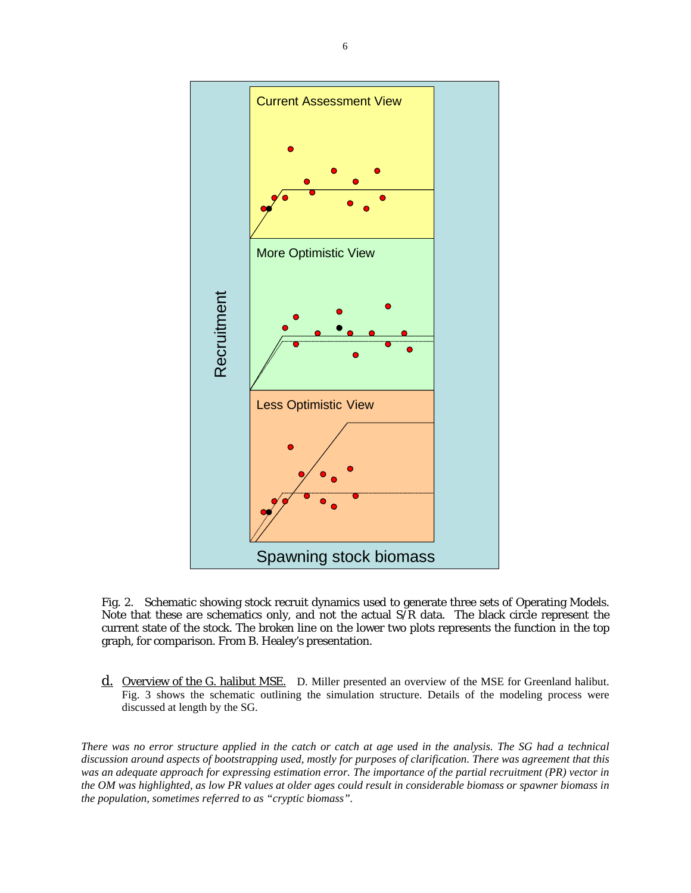

Fig. 2. Schematic showing stock recruit dynamics used to generate three sets of Operating Models. Note that these are schematics only, and not the actual  $S/R$  data. The black circle represent the current state of the stock. The broken line on the lower two plots represents the function in the top graph, for comparison. From B. Healey's presentation.

d. Overview of the G. halibut MSE. D. Miller presented an overview of the MSE for Greenland halibut. Fig. 3 shows the schematic outlining the simulation structure. Details of the modeling process were discussed at length by the SG.

*There was no error structure applied in the catch or catch at age used in the analysis. The SG had a technical discussion around aspects of bootstrapping used, mostly for purposes of clarification. There was agreement that this was an adequate approach for expressing estimation error. The importance of the partial recruitment (PR) vector in the OM was highlighted, as low PR values at older ages could result in considerable biomass or spawner biomass in the population, sometimes referred to as "cryptic biomass".*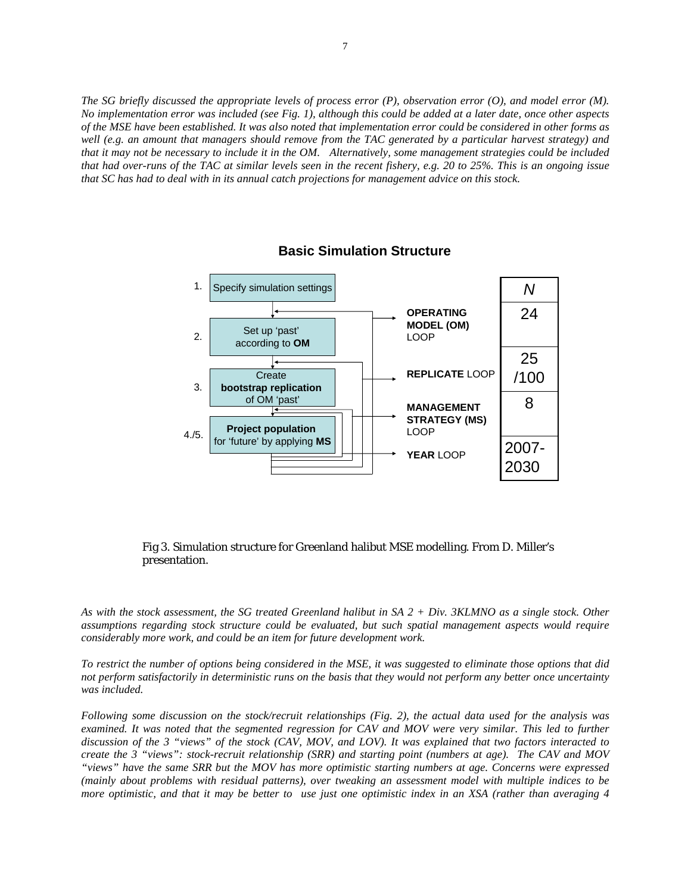*The SG briefly discussed the appropriate levels of process error (P), observation error (O), and model error (M). No implementation error was included (see Fig. 1), although this could be added at a later date, once other aspects of the MSE have been established. It was also noted that implementation error could be considered in other forms as well (e.g. an amount that managers should remove from the TAC generated by a particular harvest strategy) and that it may not be necessary to include it in the OM. Alternatively, some management strategies could be included that had over-runs of the TAC at similar levels seen in the recent fishery, e.g. 20 to 25%. This is an ongoing issue that SC has had to deal with in its annual catch projections for management advice on this stock.* 



# **Basic Simulation Structure**

#### Fig 3. Simulation structure for Greenland halibut MSE modelling. From D. Miller's presentation.

*As with the stock assessment, the SG treated Greenland halibut in SA 2 + Div. 3KLMNO as a single stock. Other assumptions regarding stock structure could be evaluated, but such spatial management aspects would require considerably more work, and could be an item for future development work.* 

*To restrict the number of options being considered in the MSE, it was suggested to eliminate those options that did not perform satisfactorily in deterministic runs on the basis that they would not perform any better once uncertainty was included.* 

*Following some discussion on the stock/recruit relationships (Fig. 2), the actual data used for the analysis was examined. It was noted that the segmented regression for CAV and MOV were very similar. This led to further discussion of the 3 "views" of the stock (CAV, MOV, and LOV). It was explained that two factors interacted to create the 3 "views": stock-recruit relationship (SRR) and starting point (numbers at age). The CAV and MOV "views" have the same SRR but the MOV has more optimistic starting numbers at age. Concerns were expressed (mainly about problems with residual patterns), over tweaking an assessment model with multiple indices to be more optimistic, and that it may be better to use just one optimistic index in an XSA (rather than averaging 4*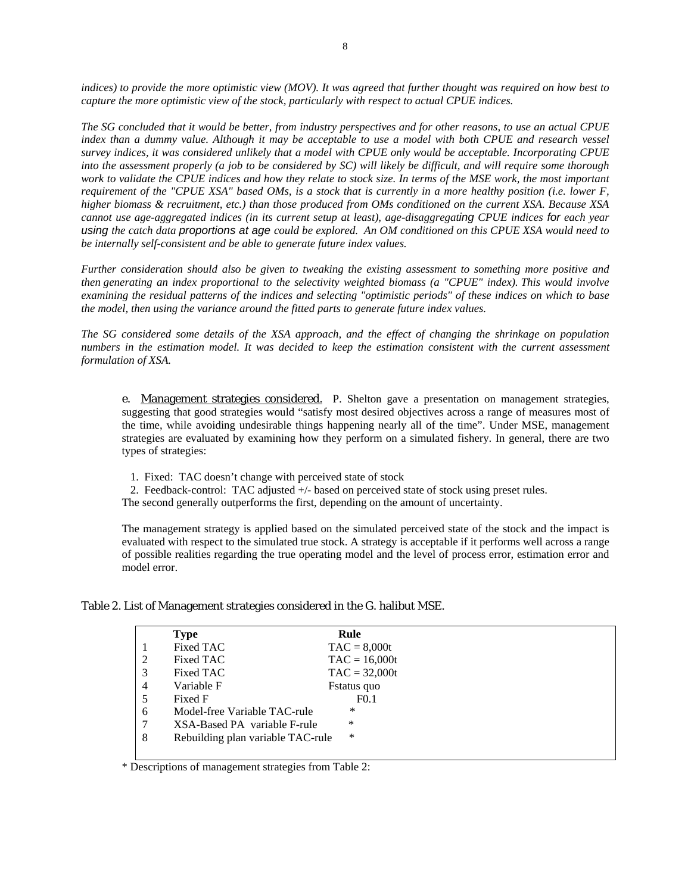*indices) to provide the more optimistic view (MOV). It was agreed that further thought was required on how best to capture the more optimistic view of the stock, particularly with respect to actual CPUE indices*.

*The SG concluded that it would be better, from industry perspectives and for other reasons, to use an actual CPUE index than a dummy value. Although it may be acceptable to use a model with both CPUE and research vessel survey indices, it was considered unlikely that a model with CPUE only would be acceptable. Incorporating CPUE into the assessment properly (a job to be considered by SC) will likely be difficult, and will require some thorough work to validate the CPUE indices and how they relate to stock size. In terms of the MSE work, the most important requirement of the "CPUE XSA" based OMs, is a stock that is currently in a more healthy position (i.e. lower F, higher biomass & recruitment, etc.) than those produced from OMs conditioned on the current XSA. Because XSA cannot use age-aggregated indices (in its current setup at least), age-disaggregating CPUE indices for each year using the catch data proportions at age could be explored. An OM conditioned on this CPUE XSA would need to be internally self-consistent and be able to generate future index values.* 

*Further consideration should also be given to tweaking the existing assessment to something more positive and then generating an index proportional to the selectivity weighted biomass (a "CPUE" index). This would involve examining the residual patterns of the indices and selecting "optimistic periods" of these indices on which to base the model, then using the variance around the fitted parts to generate future index values.* 

*The SG considered some details of the XSA approach, and the effect of changing the shrinkage on population numbers in the estimation model. It was decided to keep the estimation consistent with the current assessment formulation of XSA.* 

e. Management strategies considered. P. Shelton gave a presentation on management strategies, suggesting that good strategies would "satisfy most desired objectives across a range of measures most of the time, while avoiding undesirable things happening nearly all of the time". Under MSE, management strategies are evaluated by examining how they perform on a simulated fishery. In general, there are two types of strategies:

1. Fixed: TAC doesn't change with perceived state of stock

2. Feedback-control: TAC adjusted +/- based on perceived state of stock using preset rules.

The second generally outperforms the first, depending on the amount of uncertainty.

The management strategy is applied based on the simulated perceived state of the stock and the impact is evaluated with respect to the simulated true stock. A strategy is acceptable if it performs well across a range of possible realities regarding the true operating model and the level of process error, estimation error and model error.

Table 2. List of Management strategies considered in the G. halibut MSE.

|   | <b>Type</b>                       | Rule               |
|---|-----------------------------------|--------------------|
|   | Fixed TAC                         | $TAC = 8,000t$     |
| 2 | Fixed TAC                         | $TAC = 16,000t$    |
| 3 | Fixed TAC                         | $TAC = 32,000t$    |
| 4 | Variable F                        | <b>Fstatus</b> quo |
| 5 | Fixed F                           | F <sub>0.1</sub>   |
| 6 | Model-free Variable TAC-rule      | *                  |
| 7 | XSA-Based PA variable F-rule      | ∗                  |
| 8 | Rebuilding plan variable TAC-rule | $\ast$             |
|   |                                   |                    |

\* Descriptions of management strategies from Table 2: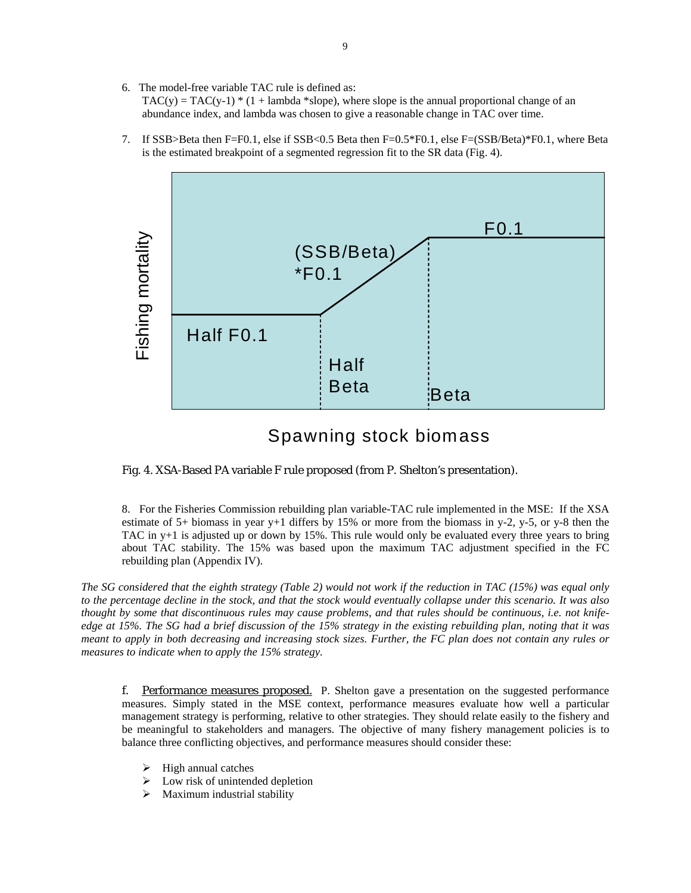6. The model-free variable TAC rule is defined as:

 $TAC(y) = TAC(y-1) * (1 + lambda * slope)$ , where slope is the annual proportional change of an abundance index, and lambda was chosen to give a reasonable change in TAC over time.

7. If SSB>Beta then F=F0.1, else if SSB<0.5 Beta then F=0.5\*F0.1, else F=(SSB/Beta)\*F0.1, where Beta is the estimated breakpoint of a segmented regression fit to the SR data (Fig. 4).



# Spawning stock biomass

Fig. 4. XSA-Based PA variable F rule proposed (from P. Shelton's presentation).

8. For the Fisheries Commission rebuilding plan variable-TAC rule implemented in the MSE: If the XSA estimate of 5+ biomass in year y+1 differs by 15% or more from the biomass in y-2, y-5, or y-8 then the TAC in y+1 is adjusted up or down by 15%. This rule would only be evaluated every three years to bring about TAC stability. The 15% was based upon the maximum TAC adjustment specified in the FC rebuilding plan (Appendix IV).

*The SG considered that the eighth strategy (Table 2) would not work if the reduction in TAC (15%) was equal only to the percentage decline in the stock, and that the stock would eventually collapse under this scenario. It was also thought by some that discontinuous rules may cause problems, and that rules should be continuous, i.e. not knifeedge at 15%. The SG had a brief discussion of the 15% strategy in the existing rebuilding plan, noting that it was meant to apply in both decreasing and increasing stock sizes. Further, the FC plan does not contain any rules or measures to indicate when to apply the 15% strategy.* 

f. Performance measures proposed. P. Shelton gave a presentation on the suggested performance measures. Simply stated in the MSE context, performance measures evaluate how well a particular management strategy is performing, relative to other strategies. They should relate easily to the fishery and be meaningful to stakeholders and managers. The objective of many fishery management policies is to balance three conflicting objectives, and performance measures should consider these:

- $\triangleright$  High annual catches
- $\triangleright$  Low risk of unintended depletion
- ¾ Maximum industrial stability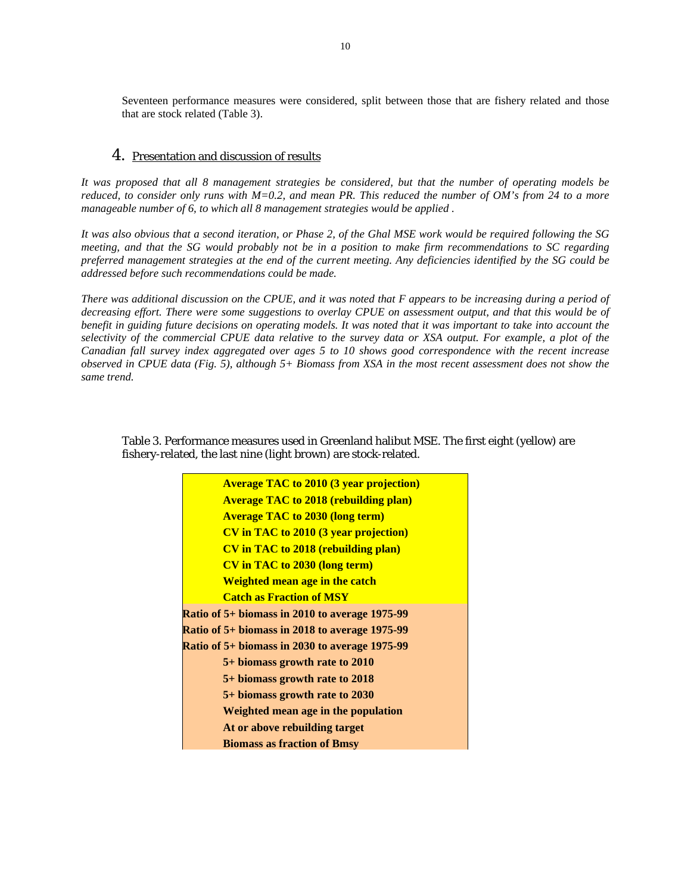Seventeen performance measures were considered, split between those that are fishery related and those that are stock related (Table 3).

# 4. Presentation and discussion of results

*It was proposed that all 8 management strategies be considered, but that the number of operating models be reduced, to consider only runs with M=0.2, and mean PR. This reduced the number of OM's from 24 to a more manageable number of 6, to which all 8 management strategies would be applied .* 

*It was also obvious that a second iteration, or Phase 2, of the Ghal MSE work would be required following the SG meeting, and that the SG would probably not be in a position to make firm recommendations to SC regarding preferred management strategies at the end of the current meeting. Any deficiencies identified by the SG could be addressed before such recommendations could be made.* 

*There was additional discussion on the CPUE, and it was noted that F appears to be increasing during a period of decreasing effort. There were some suggestions to overlay CPUE on assessment output, and that this would be of benefit in guiding future decisions on operating models. It was noted that it was important to take into account the selectivity of the commercial CPUE data relative to the survey data or XSA output. For example, a plot of the Canadian fall survey index aggregated over ages 5 to 10 shows good correspondence with the recent increase observed in CPUE data (Fig. 5), although 5+ Biomass from XSA in the most recent assessment does not show the same trend.* 

Table 3. Performance measures used in Greenland halibut MSE. The first eight (yellow) are fishery-related, the last nine (light brown) are stock-related.

| <b>Average TAC to 2010 (3 year projection)</b> |
|------------------------------------------------|
| <b>Average TAC to 2018 (rebuilding plan)</b>   |
| <b>Average TAC to 2030 (long term)</b>         |
| <b>CV</b> in TAC to 2010 (3 year projection)   |
| <b>CV</b> in TAC to 2018 (rebuilding plan)     |
| <b>CV</b> in TAC to 2030 (long term)           |
| <b>Weighted mean age in the catch</b>          |
| <b>Catch as Fraction of MSY</b>                |
| Ratio of 5+ biomass in 2010 to average 1975-99 |
| Ratio of 5+ biomass in 2018 to average 1975-99 |
| Ratio of 5+ biomass in 2030 to average 1975-99 |
| 5+ biomass growth rate to 2010                 |
| 5+ biomass growth rate to 2018                 |
| 5+ biomass growth rate to 2030                 |
| Weighted mean age in the population            |
| At or above rebuilding target                  |
| <b>Biomass as fraction of Bmsy</b>             |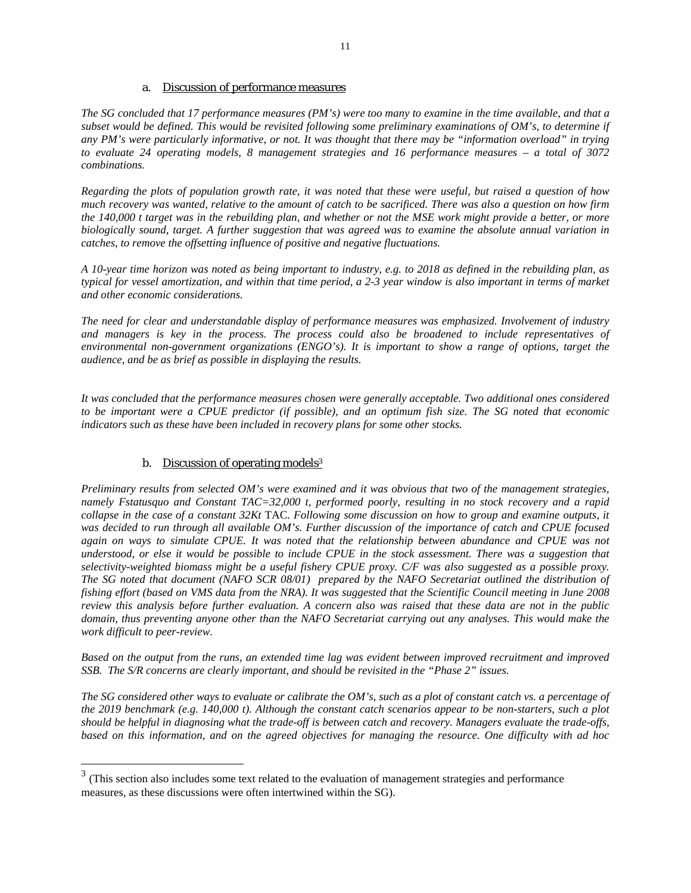### a. Discussion of performance measures

*The SG concluded that 17 performance measures (PM's) were too many to examine in the time available, and that a subset would be defined. This would be revisited following some preliminary examinations of OM's, to determine if any PM's were particularly informative, or not. It was thought that there may be "information overload" in trying to evaluate 24 operating models, 8 management strategies and 16 performance measures – a total of 3072 combinations.* 

*Regarding the plots of population growth rate, it was noted that these were useful, but raised a question of how much recovery was wanted, relative to the amount of catch to be sacrificed. There was also a question on how firm the 140,000 t target was in the rebuilding plan, and whether or not the MSE work might provide a better, or more biologically sound, target. A further suggestion that was agreed was to examine the absolute annual variation in catches, to remove the offsetting influence of positive and negative fluctuations.* 

*A 10-year time horizon was noted as being important to industry, e.g. to 2018 as defined in the rebuilding plan, as typical for vessel amortization, and within that time period, a 2-3 year window is also important in terms of market and other economic considerations.* 

*The need for clear and understandable display of performance measures was emphasized. Involvement of industry and managers is key in the process. The process could also be broadened to include representatives of environmental non-government organizations (ENGO's). It is important to show a range of options, target the audience, and be as brief as possible in displaying the results.* 

*It was concluded that the performance measures chosen were generally acceptable. Two additional ones considered to be important were a CPUE predictor (if possible), and an optimum fish size. The SG noted that economic indicators such as these have been included in recovery plans for some other stocks.* 

# b. Discussion of operating models<sup>3</sup>

 $\overline{a}$ 

*Preliminary results from selected OM's were examined and it was obvious that two of the management strategies, namely Fstatusquo and Constant TAC=32,000 t, performed poorly, resulting in no stock recovery and a rapid collapse in the case of a constant 32Kt* TAC*. Following some discussion on how to group and examine outputs, it was decided to run through all available OM's. Further discussion of the importance of catch and CPUE focused*  again on ways to simulate CPUE. It was noted that the relationship between abundance and CPUE was not *understood, or else it would be possible to include CPUE in the stock assessment. There was a suggestion that selectivity-weighted biomass might be a useful fishery CPUE proxy. C/F was also suggested as a possible proxy. The SG noted that document (NAFO SCR 08/01) prepared by the NAFO Secretariat outlined the distribution of fishing effort (based on VMS data from the NRA). It was suggested that the Scientific Council meeting in June 2008 review this analysis before further evaluation. A concern also was raised that these data are not in the public domain, thus preventing anyone other than the NAFO Secretariat carrying out any analyses. This would make the work difficult to peer-review.* 

*Based on the output from the runs, an extended time lag was evident between improved recruitment and improved SSB. The S/R concerns are clearly important, and should be revisited in the "Phase 2" issues.* 

*The SG considered other ways to evaluate or calibrate the OM's, such as a plot of constant catch vs. a percentage of the 2019 benchmark (e.g. 140,000 t). Although the constant catch scenarios appear to be non-starters, such a plot should be helpful in diagnosing what the trade-off is between catch and recovery. Managers evaluate the trade-offs, based on this information, and on the agreed objectives for managing the resource. One difficulty with ad hoc* 

 $3$  (This section also includes some text related to the evaluation of management strategies and performance measures, as these discussions were often intertwined within the SG).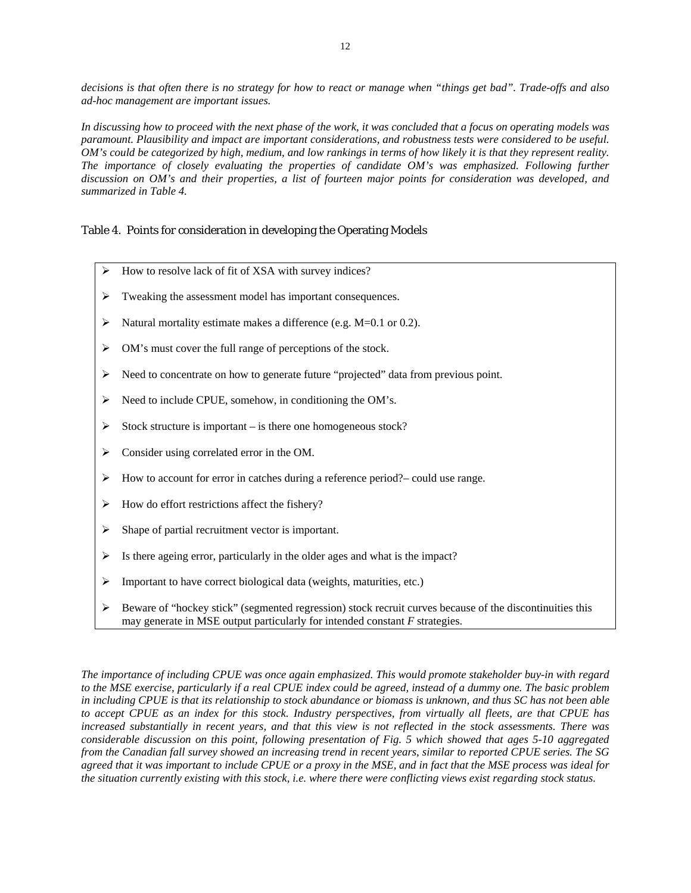*decisions is that often there is no strategy for how to react or manage when "things get bad". Trade-offs and also ad-hoc management are important issues.* 

*In discussing how to proceed with the next phase of the work, it was concluded that a focus on operating models was paramount. Plausibility and impact are important considerations, and robustness tests were considered to be useful. OM's could be categorized by high, medium, and low rankings in terms of how likely it is that they represent reality. The importance of closely evaluating the properties of candidate OM's was emphasized. Following further discussion on OM's and their properties, a list of fourteen major points for consideration was developed, and summarized in Table 4.* 

### Table 4. Points for consideration in developing the Operating Models

- $\blacktriangleright$  How to resolve lack of fit of XSA with survey indices?
- ¾ Tweaking the assessment model has important consequences.
- $\triangleright$  Natural mortality estimate makes a difference (e.g. M=0.1 or 0.2).
- ¾ OM's must cover the full range of perceptions of the stock.
- $\triangleright$  Need to concentrate on how to generate future "projected" data from previous point.
- $\triangleright$  Need to include CPUE, somehow, in conditioning the OM's.
- $\triangleright$  Stock structure is important is there one homogeneous stock?
- $\triangleright$  Consider using correlated error in the OM.
- ¾ How to account for error in catches during a reference period?– could use range.
- $\blacktriangleright$  How do effort restrictions affect the fishery?
- $\triangleright$  Shape of partial recruitment vector is important.
- $\triangleright$  Is there ageing error, particularly in the older ages and what is the impact?
- ¾ Important to have correct biological data (weights, maturities, etc.)
- $\triangleright$  Beware of "hockey stick" (segmented regression) stock recruit curves because of the discontinuities this may generate in MSE output particularly for intended constant *F* strategies.

*The importance of including CPUE was once again emphasized. This would promote stakeholder buy-in with regard to the MSE exercise, particularly if a real CPUE index could be agreed, instead of a dummy one. The basic problem in including CPUE is that its relationship to stock abundance or biomass is unknown, and thus SC has not been able to accept CPUE as an index for this stock. Industry perspectives, from virtually all fleets, are that CPUE has increased substantially in recent years, and that this view is not reflected in the stock assessments. There was considerable discussion on this point, following presentation of Fig. 5 which showed that ages 5-10 aggregated from the Canadian fall survey showed an increasing trend in recent years, similar to reported CPUE series. The SG agreed that it was important to include CPUE or a proxy in the MSE, and in fact that the MSE process was ideal for the situation currently existing with this stock, i.e. where there were conflicting views exist regarding stock status.*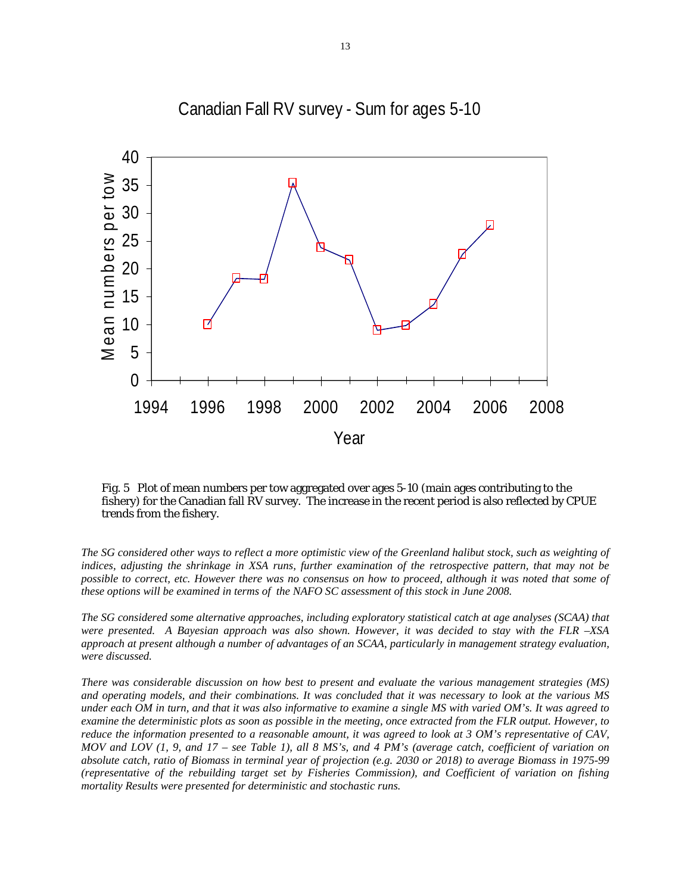

Canadian Fall RV survey - Sum for ages 5-10

Fig. 5 Plot of mean numbers per tow aggregated over ages 5-10 (main ages contributing to the fishery) for the Canadian fall RV survey. The increase in the recent period is also reflected by CPUE trends from the fishery.

*The SG considered other ways to reflect a more optimistic view of the Greenland halibut stock, such as weighting of indices, adjusting the shrinkage in XSA runs, further examination of the retrospective pattern, that may not be possible to correct, etc. However there was no consensus on how to proceed, although it was noted that some of these options will be examined in terms of the NAFO SC assessment of this stock in June 2008.* 

*The SG considered some alternative approaches, including exploratory statistical catch at age analyses (SCAA) that were presented. A Bayesian approach was also shown. However, it was decided to stay with the FLR –XSA approach at present although a number of advantages of an SCAA, particularly in management strategy evaluation, were discussed.* 

*There was considerable discussion on how best to present and evaluate the various management strategies (MS) and operating models, and their combinations. It was concluded that it was necessary to look at the various MS under each OM in turn, and that it was also informative to examine a single MS with varied OM's. It was agreed to examine the deterministic plots as soon as possible in the meeting, once extracted from the FLR output. However, to reduce the information presented to a reasonable amount, it was agreed to look at 3 OM's representative of CAV, MOV and LOV (1, 9, and 17 – see Table 1), all 8 MS's, and 4 PM's (average catch, coefficient of variation on absolute catch, ratio of Biomass in terminal year of projection (e.g. 2030 or 2018) to average Biomass in 1975-99 (representative of the rebuilding target set by Fisheries Commission), and Coefficient of variation on fishing mortality Results were presented for deterministic and stochastic runs.*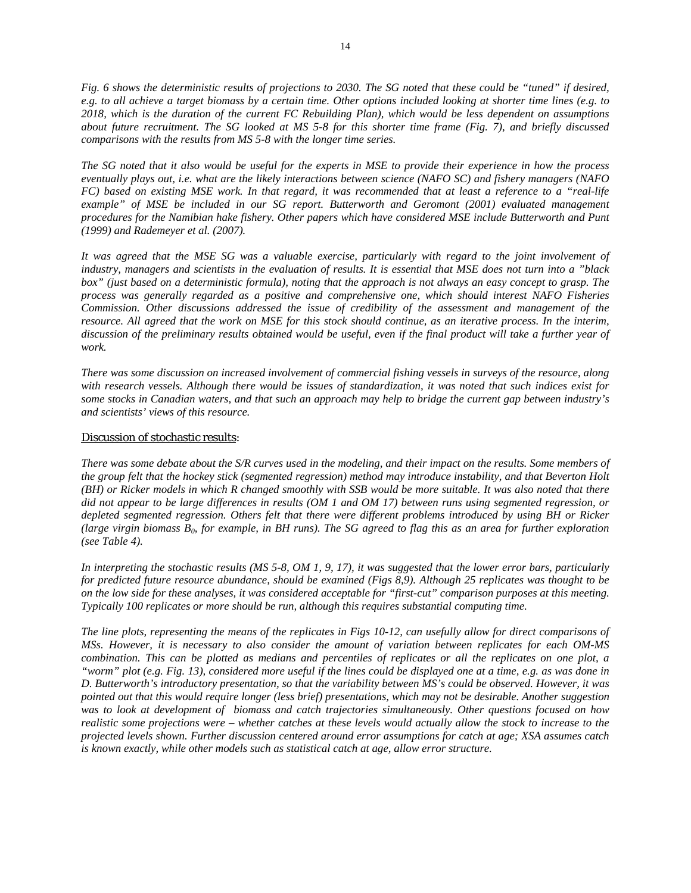*Fig. 6 shows the deterministic results of projections to 2030. The SG noted that these could be "tuned" if desired, e.g. to all achieve a target biomass by a certain time. Other options included looking at shorter time lines (e.g. to 2018, which is the duration of the current FC Rebuilding Plan), which would be less dependent on assumptions about future recruitment. The SG looked at MS 5-8 for this shorter time frame (Fig. 7), and briefly discussed comparisons with the results from MS 5-8 with the longer time series.* 

*The SG noted that it also would be useful for the experts in MSE to provide their experience in how the process eventually plays out, i.e. what are the likely interactions between science (NAFO SC) and fishery managers (NAFO FC) based on existing MSE work. In that regard, it was recommended that at least a reference to a "real-life example" of MSE be included in our SG report. Butterworth and Geromont (2001) evaluated management procedures for the Namibian hake fishery. Other papers which have considered MSE include Butterworth and Punt (1999) and Rademeyer et al. (2007).*

*It was agreed that the MSE SG was a valuable exercise, particularly with regard to the joint involvement of industry, managers and scientists in the evaluation of results. It is essential that MSE does not turn into a "black box" (just based on a deterministic formula), noting that the approach is not always an easy concept to grasp. The process was generally regarded as a positive and comprehensive one, which should interest NAFO Fisheries Commission. Other discussions addressed the issue of credibility of the assessment and management of the resource. All agreed that the work on MSE for this stock should continue, as an iterative process. In the interim, discussion of the preliminary results obtained would be useful, even if the final product will take a further year of work.* 

*There was some discussion on increased involvement of commercial fishing vessels in surveys of the resource, along with research vessels. Although there would be issues of standardization, it was noted that such indices exist for some stocks in Canadian waters, and that such an approach may help to bridge the current gap between industry's and scientists' views of this resource.* 

#### Discussion of stochastic results:

*There was some debate about the S/R curves used in the modeling, and their impact on the results. Some members of the group felt that the hockey stick (segmented regression) method may introduce instability, and that Beverton Holt (BH) or Ricker models in which R changed smoothly with SSB would be more suitable. It was also noted that there did not appear to be large differences in results (OM 1 and OM 17) between runs using segmented regression, or depleted segmented regression. Others felt that there were different problems introduced by using BH or Ricker (large virgin biomass*  $B_0$ *, for example, in BH runs). The SG agreed to flag this as an area for further exploration (see Table 4).* 

*In interpreting the stochastic results (MS 5-8, OM 1, 9, 17), it was suggested that the lower error bars, particularly for predicted future resource abundance, should be examined (Figs 8,9). Although 25 replicates was thought to be on the low side for these analyses, it was considered acceptable for "first-cut" comparison purposes at this meeting. Typically 100 replicates or more should be run, although this requires substantial computing time.* 

*The line plots, representing the means of the replicates in Figs 10-12, can usefully allow for direct comparisons of MSs. However, it is necessary to also consider the amount of variation between replicates for each OM-MS combination. This can be plotted as medians and percentiles of replicates or all the replicates on one plot, a "worm" plot (e.g. Fig. 13), considered more useful if the lines could be displayed one at a time, e.g. as was done in D. Butterworth's introductory presentation, so that the variability between MS's could be observed. However, it was pointed out that this would require longer (less brief) presentations, which may not be desirable. Another suggestion was to look at development of biomass and catch trajectories simultaneously. Other questions focused on how realistic some projections were – whether catches at these levels would actually allow the stock to increase to the projected levels shown. Further discussion centered around error assumptions for catch at age; XSA assumes catch is known exactly, while other models such as statistical catch at age, allow error structure.*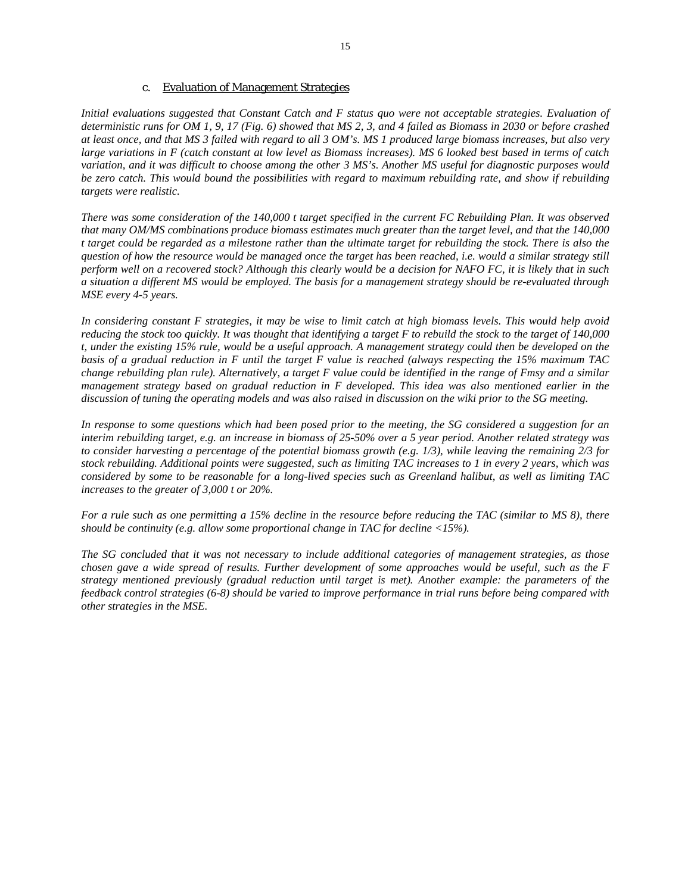#### c. Evaluation of Management Strategies

*Initial evaluations suggested that Constant Catch and F status quo were not acceptable strategies. Evaluation of deterministic runs for OM 1, 9, 17 (Fig. 6) showed that MS 2, 3, and 4 failed as Biomass in 2030 or before crashed at least once, and that MS 3 failed with regard to all 3 OM's. MS 1 produced large biomass increases, but also very large variations in F (catch constant at low level as Biomass increases). MS 6 looked best based in terms of catch variation, and it was difficult to choose among the other 3 MS's. Another MS useful for diagnostic purposes would be zero catch. This would bound the possibilities with regard to maximum rebuilding rate, and show if rebuilding targets were realistic.* 

*There was some consideration of the 140,000 t target specified in the current FC Rebuilding Plan. It was observed that many OM/MS combinations produce biomass estimates much greater than the target level, and that the 140,000 t target could be regarded as a milestone rather than the ultimate target for rebuilding the stock. There is also the question of how the resource would be managed once the target has been reached, i.e. would a similar strategy still perform well on a recovered stock? Although this clearly would be a decision for NAFO FC, it is likely that in such a situation a different MS would be employed. The basis for a management strategy should be re-evaluated through MSE every 4-5 years.* 

*In considering constant F strategies, it may be wise to limit catch at high biomass levels. This would help avoid reducing the stock too quickly. It was thought that identifying a target F to rebuild the stock to the target of 140,000 t, under the existing 15% rule, would be a useful approach. A management strategy could then be developed on the basis of a gradual reduction in F until the target F value is reached (always respecting the 15% maximum TAC change rebuilding plan rule). Alternatively, a target F value could be identified in the range of Fmsy and a similar management strategy based on gradual reduction in F developed. This idea was also mentioned earlier in the discussion of tuning the operating models and was also raised in discussion on the wiki prior to the SG meeting.* 

In response to some questions which had been posed prior to the meeting, the SG considered a suggestion for an *interim rebuilding target, e.g. an increase in biomass of 25-50% over a 5 year period. Another related strategy was to consider harvesting a percentage of the potential biomass growth (e.g. 1/3), while leaving the remaining 2/3 for stock rebuilding. Additional points were suggested, such as limiting TAC increases to 1 in every 2 years, which was considered by some to be reasonable for a long-lived species such as Greenland halibut, as well as limiting TAC increases to the greater of 3,000 t or 20%.* 

*For a rule such as one permitting a 15% decline in the resource before reducing the TAC (similar to MS 8), there should be continuity (e.g. allow some proportional change in TAC for decline <15%).* 

*The SG concluded that it was not necessary to include additional categories of management strategies, as those chosen gave a wide spread of results. Further development of some approaches would be useful, such as the F strategy mentioned previously (gradual reduction until target is met). Another example: the parameters of the feedback control strategies (6-8) should be varied to improve performance in trial runs before being compared with other strategies in the MSE.*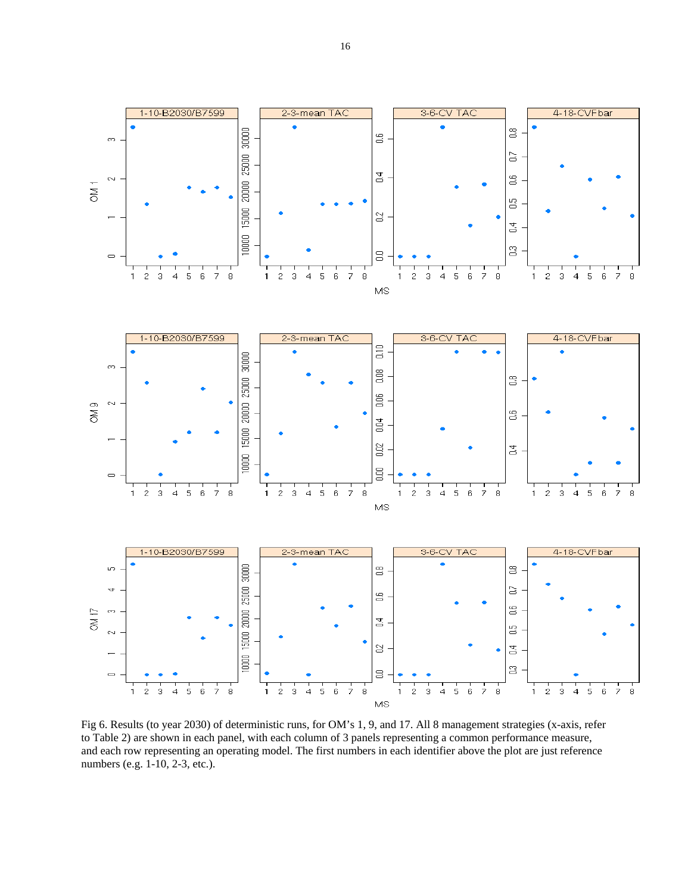

Fig 6. Results (to year 2030) of deterministic runs, for OM's 1, 9, and 17. All 8 management strategies (x-axis, refer to Table 2) are shown in each panel, with each column of 3 panels representing a common performance measure, and each row representing an operating model. The first numbers in each identifier above the plot are just reference numbers (e.g. 1-10, 2-3, etc.).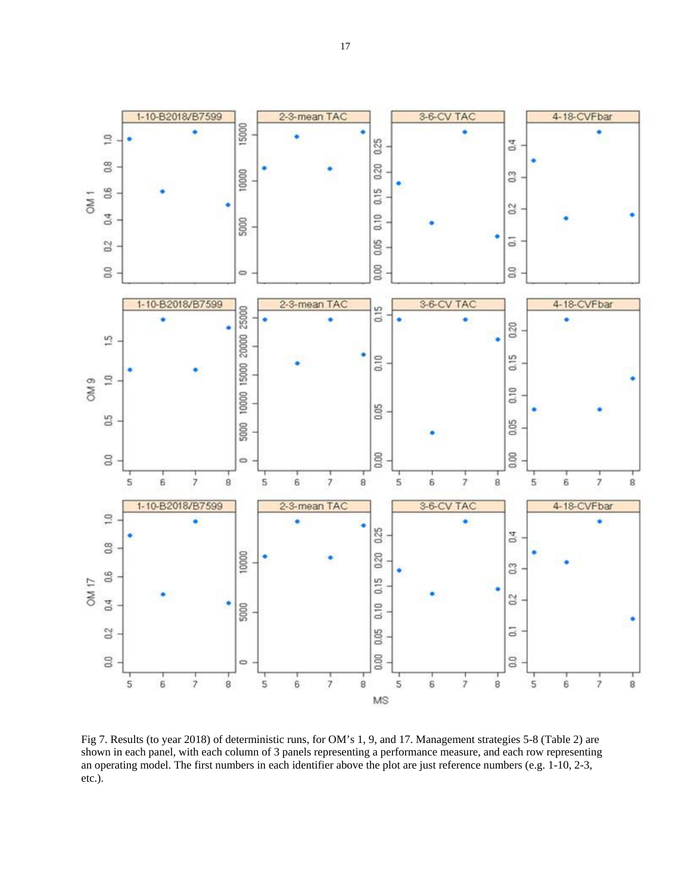

4-18-CVFbar

۰

ä



Fig 7. Results (to year 2018) of deterministic runs, for OM's 1, 9, and 17. Management strategies 5-8 (Table 2) are shown in each panel, with each column of 3 panels representing a performance measure, and each row representing an operating model. The first numbers in each identifier above the plot are just reference numbers (e.g. 1-10, 2-3, etc.).

 $\overline{1.0}$ 

 $\frac{8}{2}$ 

 $\frac{6}{10}$ OM<sub>1</sub>

 $0.4$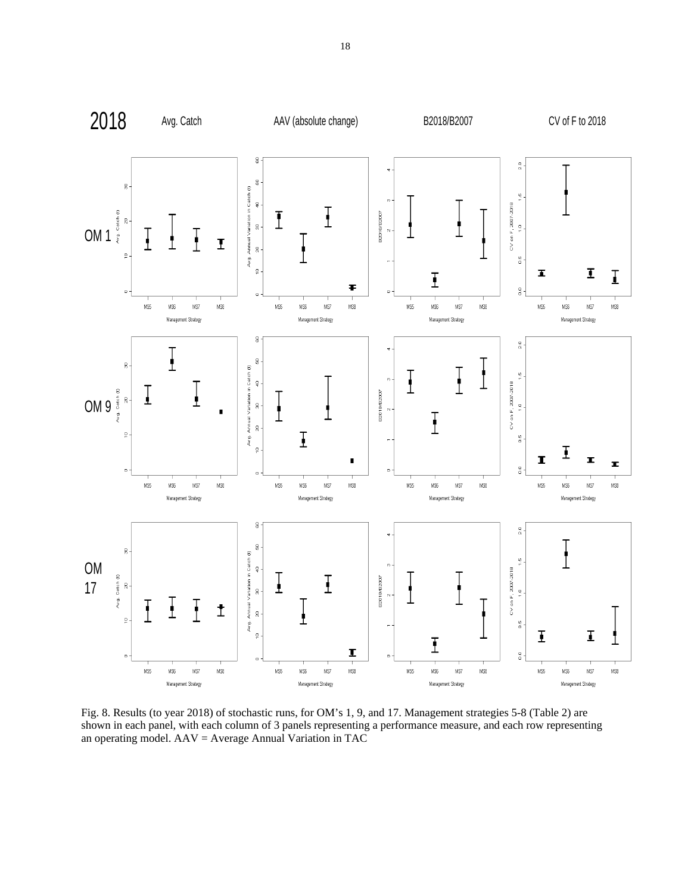

Fig. 8. Results (to year 2018) of stochastic runs, for OM's 1, 9, and 17. Management strategies 5-8 (Table 2) are shown in each panel, with each column of 3 panels representing a performance measure, and each row representing an operating model. AAV = Average Annual Variation in TAC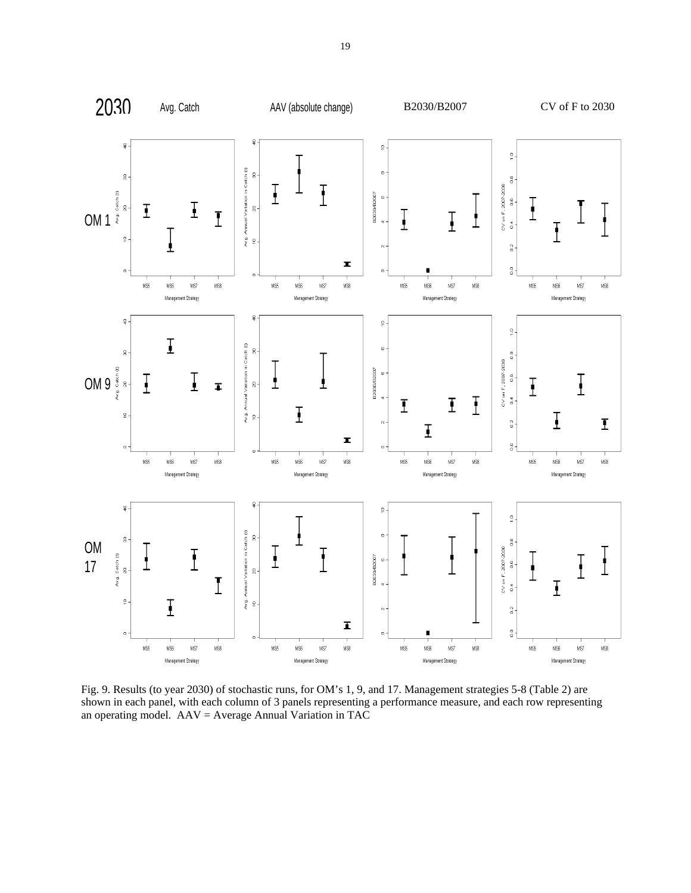

Fig. 9. Results (to year 2030) of stochastic runs, for OM's 1, 9, and 17. Management strategies 5-8 (Table 2) are shown in each panel, with each column of 3 panels representing a performance measure, and each row representing an operating model. AAV = Average Annual Variation in TAC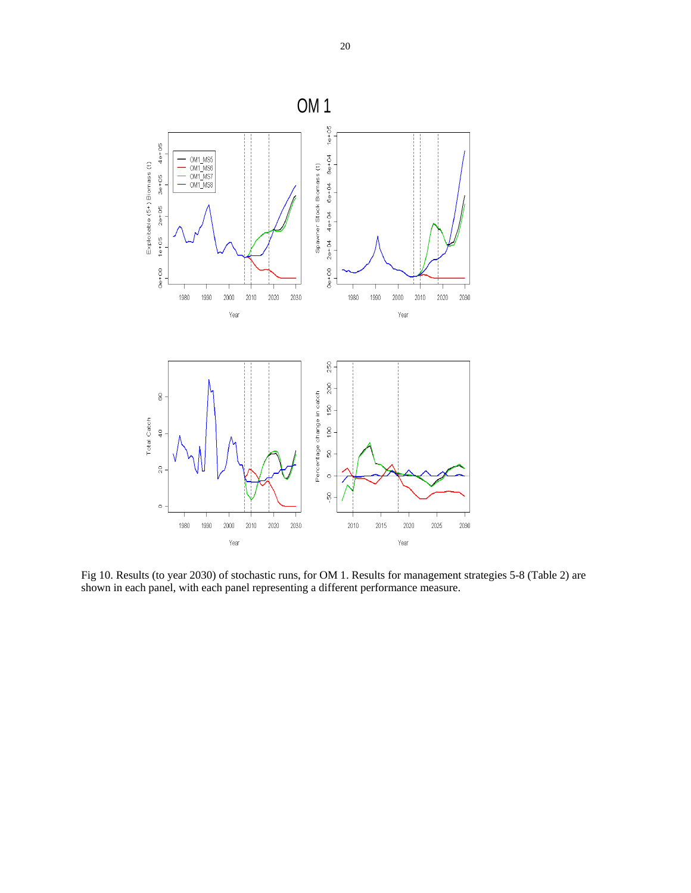

Fig 10. Results (to year 2030) of stochastic runs, for OM 1. Results for management strategies 5-8 (Table 2) are shown in each panel, with each panel representing a different performance measure.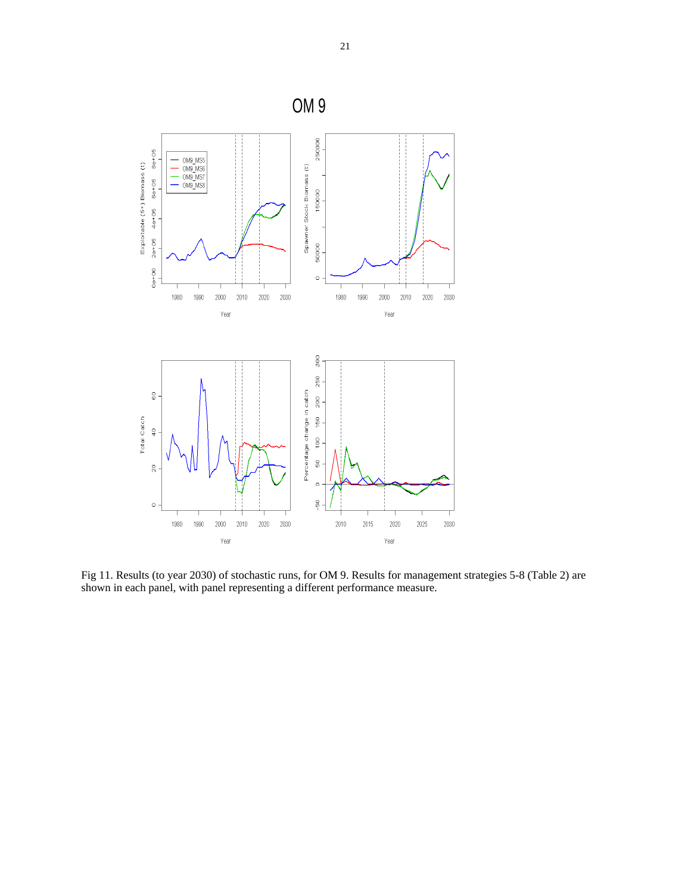

Fig 11. Results (to year 2030) of stochastic runs, for OM 9. Results for management strategies 5-8 (Table 2) are shown in each panel, with panel representing a different performance measure.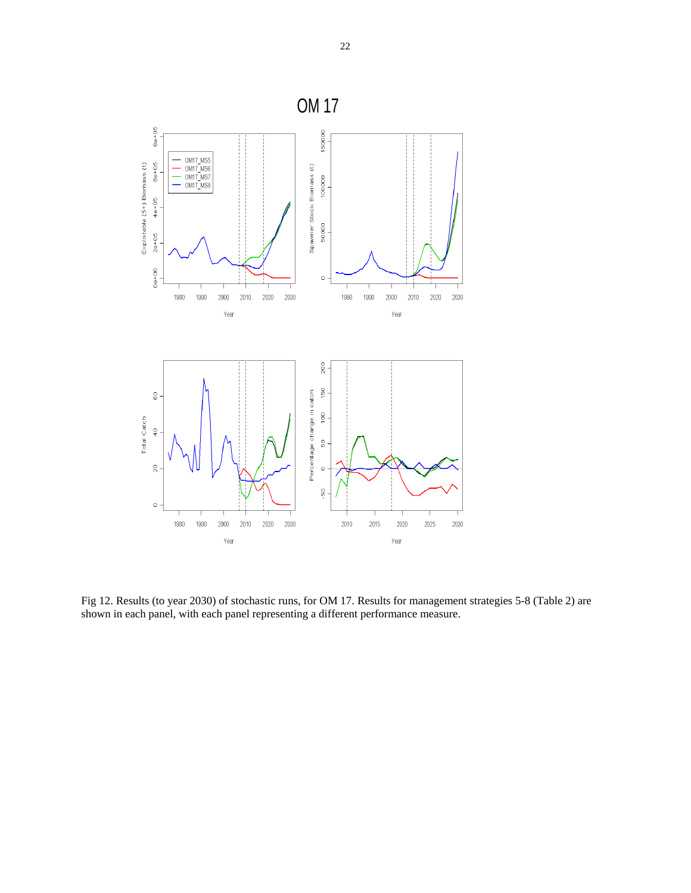

Fig 12. Results (to year 2030) of stochastic runs, for OM 17. Results for management strategies 5-8 (Table 2) are shown in each panel, with each panel representing a different performance measure.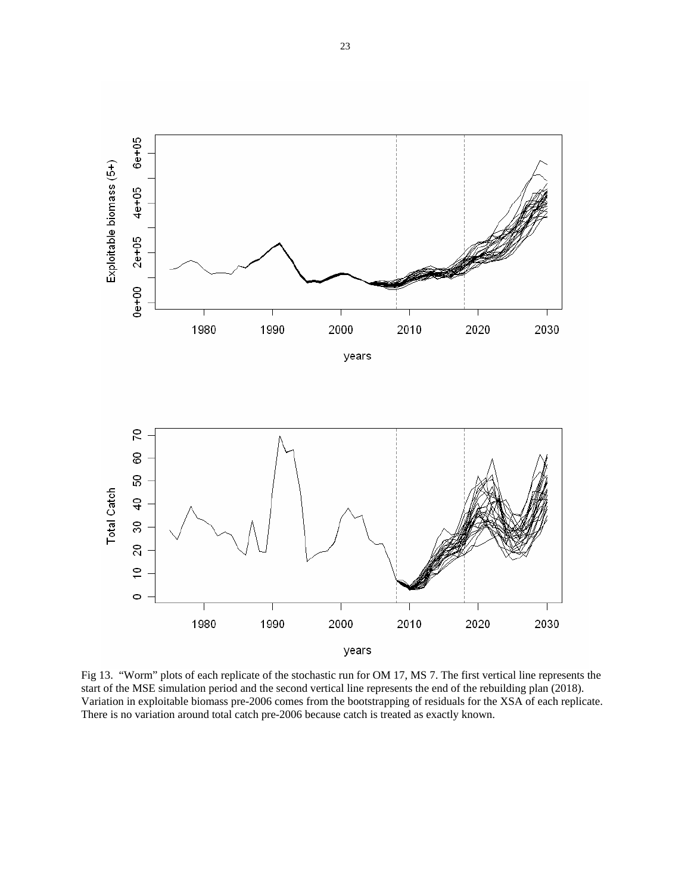

Fig 13. "Worm" plots of each replicate of the stochastic run for OM 17, MS 7. The first vertical line represents the start of the MSE simulation period and the second vertical line represents the end of the rebuilding plan (2018). Variation in exploitable biomass pre-2006 comes from the bootstrapping of residuals for the XSA of each replicate. There is no variation around total catch pre-2006 because catch is treated as exactly known.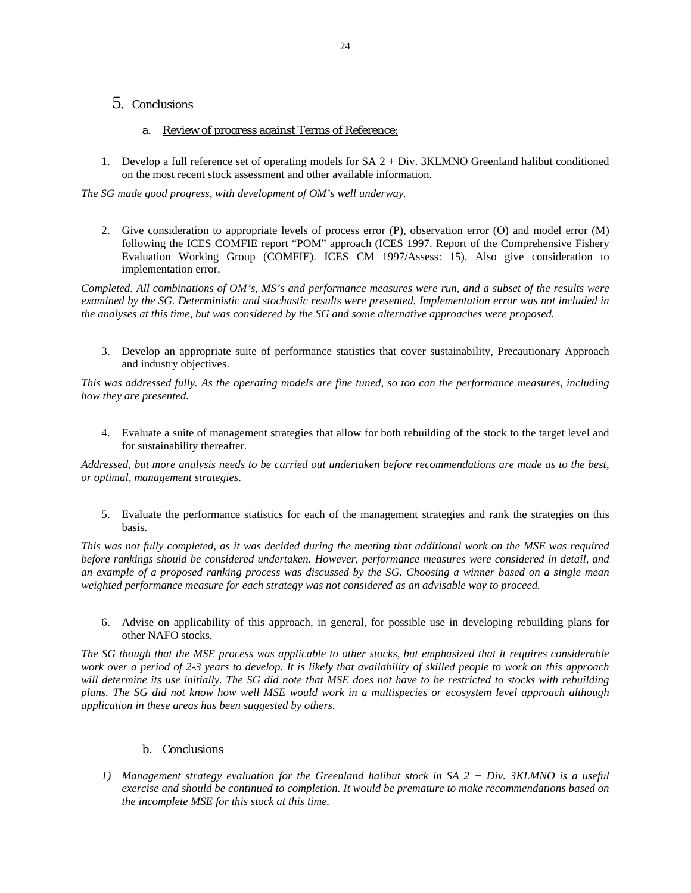# 5. Conclusions

### a. Review of progress against Terms of Reference:

1. Develop a full reference set of operating models for SA 2 + Div. 3KLMNO Greenland halibut conditioned on the most recent stock assessment and other available information.

*The SG made good progress, with development of OM's well underway.* 

2. Give consideration to appropriate levels of process error (P), observation error (O) and model error (M) following the ICES COMFIE report "POM" approach (ICES 1997. Report of the Comprehensive Fishery Evaluation Working Group (COMFIE). ICES CM 1997/Assess: 15). Also give consideration to implementation error.

*Completed. All combinations of OM's, MS's and performance measures were run, and a subset of the results were examined by the SG. Deterministic and stochastic results were presented. Implementation error was not included in the analyses at this time, but was considered by the SG and some alternative approaches were proposed.* 

3. Develop an appropriate suite of performance statistics that cover sustainability, Precautionary Approach and industry objectives.

*This was addressed fully. As the operating models are fine tuned, so too can the performance measures, including how they are presented.* 

4. Evaluate a suite of management strategies that allow for both rebuilding of the stock to the target level and for sustainability thereafter.

*Addressed, but more analysis needs to be carried out undertaken before recommendations are made as to the best, or optimal, management strategies.* 

5. Evaluate the performance statistics for each of the management strategies and rank the strategies on this basis.

*This was not fully completed, as it was decided during the meeting that additional work on the MSE was required before rankings should be considered undertaken. However, performance measures were considered in detail, and an example of a proposed ranking process was discussed by the SG. Choosing a winner based on a single mean weighted performance measure for each strategy was not considered as an advisable way to proceed.* 

6. Advise on applicability of this approach, in general, for possible use in developing rebuilding plans for other NAFO stocks.

*The SG though that the MSE process was applicable to other stocks, but emphasized that it requires considerable work over a period of 2-3 years to develop. It is likely that availability of skilled people to work on this approach will determine its use initially. The SG did note that MSE does not have to be restricted to stocks with rebuilding plans. The SG did not know how well MSE would work in a multispecies or ecosystem level approach although application in these areas has been suggested by others.* 

### b. Conclusions

*1) Management strategy evaluation for the Greenland halibut stock in SA 2 + Div. 3KLMNO is a useful exercise and should be continued to completion. It would be premature to make recommendations based on the incomplete MSE for this stock at this time.*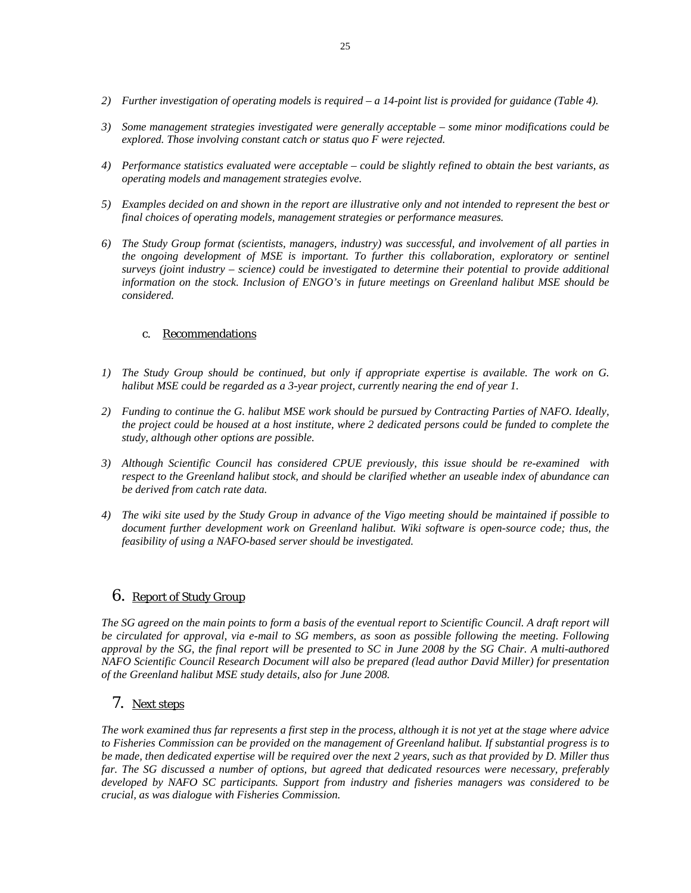- *2) Further investigation of operating models is required a 14-point list is provided for guidance (Table 4).*
- *3) Some management strategies investigated were generally acceptable some minor modifications could be explored. Those involving constant catch or status quo F were rejected.*
- *4) Performance statistics evaluated were acceptable could be slightly refined to obtain the best variants, as operating models and management strategies evolve.*
- *5) Examples decided on and shown in the report are illustrative only and not intended to represent the best or final choices of operating models, management strategies or performance measures.*
- *6) The Study Group format (scientists, managers, industry) was successful, and involvement of all parties in the ongoing development of MSE is important. To further this collaboration, exploratory or sentinel surveys (joint industry – science) could be investigated to determine their potential to provide additional information on the stock. Inclusion of ENGO's in future meetings on Greenland halibut MSE should be considered.*

# c. Recommendations

- *1) The Study Group should be continued, but only if appropriate expertise is available. The work on G. halibut MSE could be regarded as a 3-year project, currently nearing the end of year 1.*
- *2) Funding to continue the G. halibut MSE work should be pursued by Contracting Parties of NAFO. Ideally, the project could be housed at a host institute, where 2 dedicated persons could be funded to complete the study, although other options are possible.*
- *3) Although Scientific Council has considered CPUE previously, this issue should be re-examined with respect to the Greenland halibut stock, and should be clarified whether an useable index of abundance can be derived from catch rate data.*
- *4) The wiki site used by the Study Group in advance of the Vigo meeting should be maintained if possible to document further development work on Greenland halibut. Wiki software is open-source code; thus, the feasibility of using a NAFO-based server should be investigated.*

# 6. Report of Study Group

The SG agreed on the main points to form a basis of the eventual report to Scientific Council. A draft report will *be circulated for approval, via e-mail to SG members, as soon as possible following the meeting. Following approval by the SG, the final report will be presented to SC in June 2008 by the SG Chair. A multi-authored NAFO Scientific Council Research Document will also be prepared (lead author David Miller) for presentation of the Greenland halibut MSE study details, also for June 2008.* 

# 7. Next steps

*The work examined thus far represents a first step in the process, although it is not yet at the stage where advice to Fisheries Commission can be provided on the management of Greenland halibut. If substantial progress is to be made, then dedicated expertise will be required over the next 2 years, such as that provided by D. Miller thus far. The SG discussed a number of options, but agreed that dedicated resources were necessary, preferably developed by NAFO SC participants. Support from industry and fisheries managers was considered to be crucial, as was dialogue with Fisheries Commission.*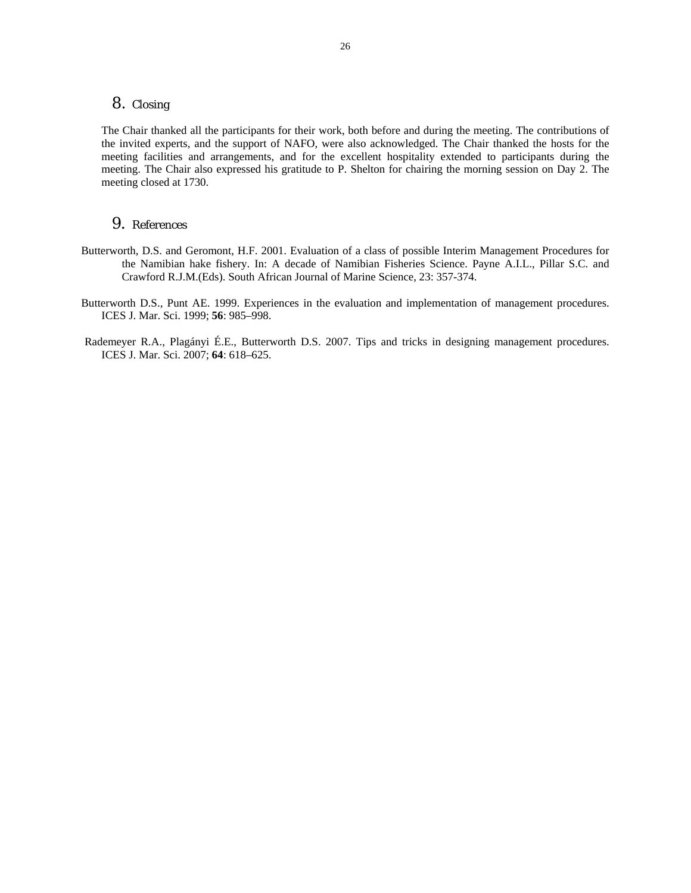### 8. Closing

The Chair thanked all the participants for their work, both before and during the meeting. The contributions of the invited experts, and the support of NAFO, were also acknowledged. The Chair thanked the hosts for the meeting facilities and arrangements, and for the excellent hospitality extended to participants during the meeting. The Chair also expressed his gratitude to P. Shelton for chairing the morning session on Day 2. The meeting closed at 1730.

### 9. References

- Butterworth, D.S. and Geromont, H.F. 2001. Evaluation of a class of possible Interim Management Procedures for the Namibian hake fishery. In: A decade of Namibian Fisheries Science. Payne A.I.L., Pillar S.C. and Crawford R.J.M.(Eds). South African Journal of Marine Science, 23: 357-374.
- Butterworth D.S., Punt AE. 1999. Experiences in the evaluation and implementation of management procedures. ICES J. Mar. Sci. 1999; **56**: 985–998.
- Rademeyer R.A., Plagányi É.E., Butterworth D.S. 2007. Tips and tricks in designing management procedures. ICES J. Mar. Sci. 2007; **64**: 618–625.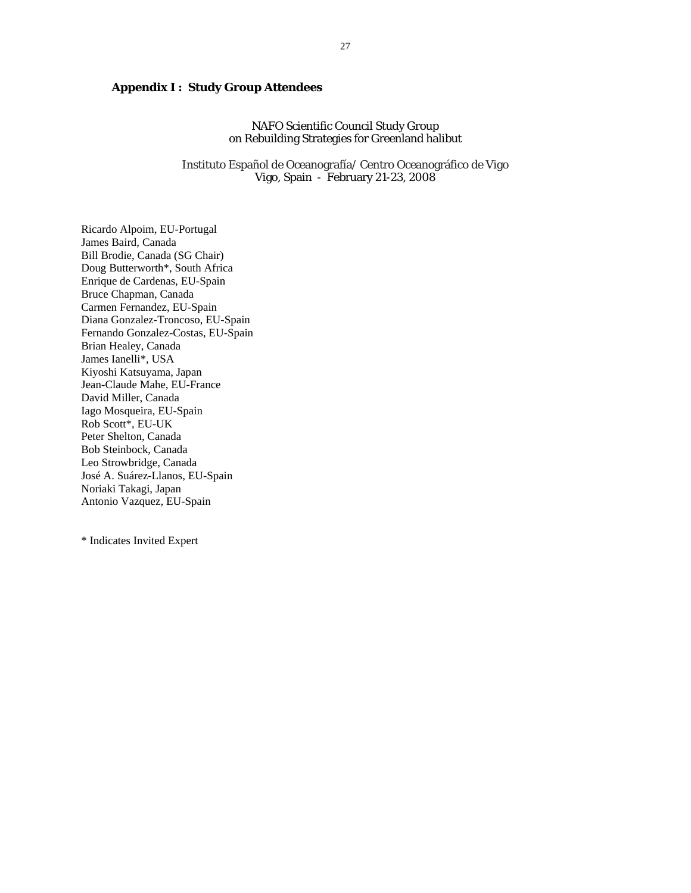# **Appendix I : Study Group Attendees**

NAFO Scientific Council Study Group on Rebuilding Strategies for Greenland halibut

Instituto Español de Oceanografía/ Centro Oceanográfico de Vigo Vigo, Spain - February 21-23, 2008

Ricardo Alpoim, EU-Portugal James Baird, Canada Bill Brodie, Canada (SG Chair) Doug Butterworth\*, South Africa Enrique de Cardenas, EU-Spain Bruce Chapman, Canada Carmen Fernandez, EU-Spain Diana Gonzalez-Troncoso, EU-Spain Fernando Gonzalez-Costas, EU-Spain Brian Healey, Canada James Ianelli\*, USA Kiyoshi Katsuyama, Japan Jean-Claude Mahe, EU-France David Miller, Canada Iago Mosqueira, EU-Spain Rob Scott\*, EU-UK Peter Shelton, Canada Bob Steinbock, Canada Leo Strowbridge, Canada José A. Suárez-Llanos, EU-Spain Noriaki Takagi, Japan Antonio Vazquez, EU-Spain

\* Indicates Invited Expert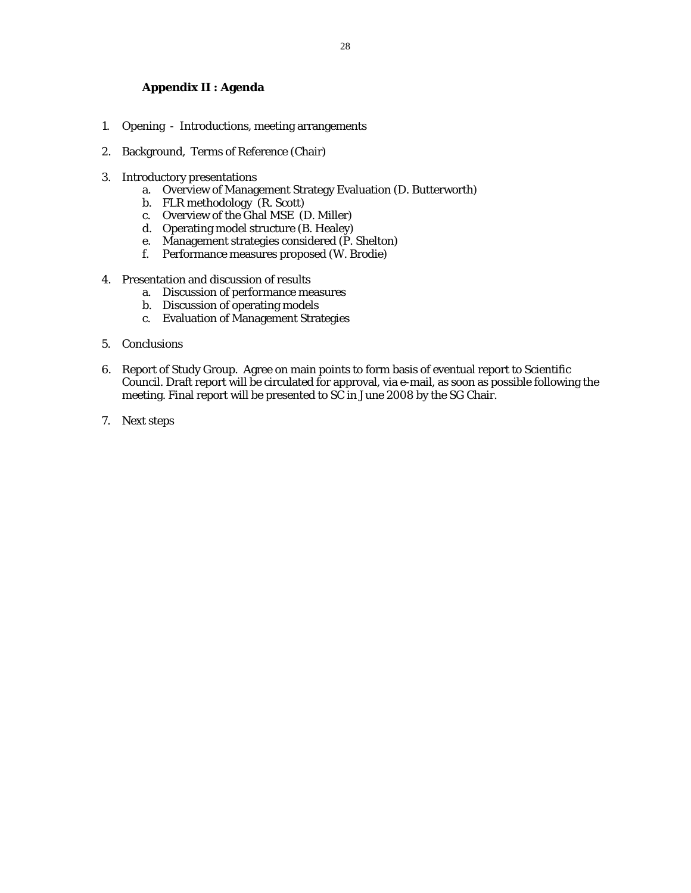# **Appendix II : Agenda**

- 1. Opening Introductions, meeting arrangements
- 2. Background, Terms of Reference (Chair)
- 3. Introductory presentations
	- a. Overview of Management Strategy Evaluation (D. Butterworth)
	- b. FLR methodology  $(R. Scott)$
	- c. Overview of the Ghal MSE (D. Miller)
	- d. Operating model structure (B. Healey)
	- e. Management strategies considered (P. Shelton)
	- f. Performance measures proposed (W. Brodie)
- 4. Presentation and discussion of results
	- a. Discussion of performance measures
	- b. Discussion of operating models
	- c. Evaluation of Management Strategies
- 5. Conclusions
- 6. Report of Study Group. Agree on main points to form basis of eventual report to Scientific Council. Draft report will be circulated for approval, via e-mail, as soon as possible following the meeting. Final report will be presented to SC in June 2008 by the SG Chair.
- 7. Next steps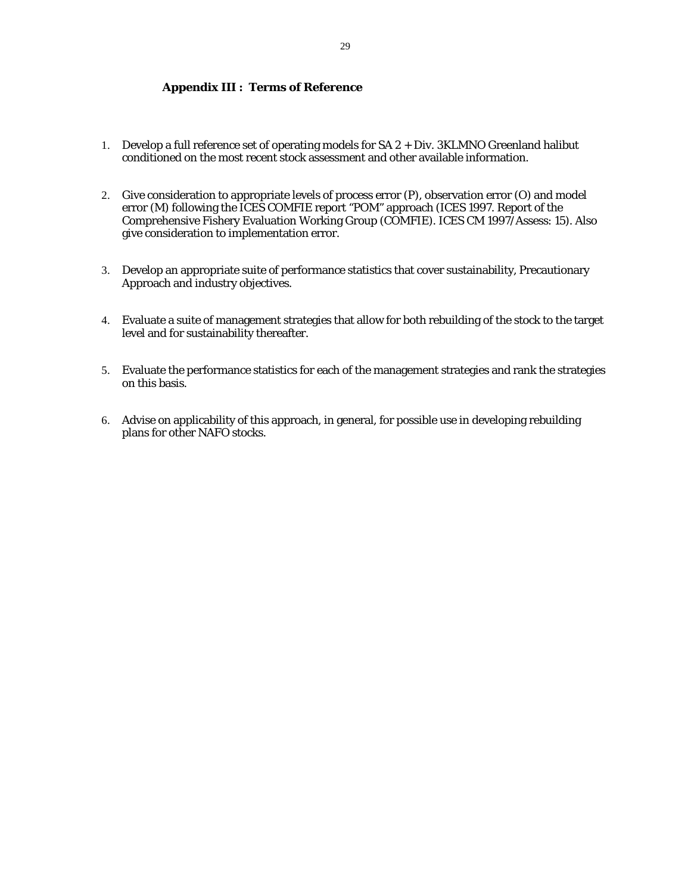# **Appendix III : Terms of Reference**

- 1. Develop a full reference set of operating models for SA 2 + Div. 3KLMNO Greenland halibut conditioned on the most recent stock assessment and other available information.
- 2. Give consideration to appropriate levels of process error (P), observation error (O) and model error (M) following the ICES COMFIE report "POM" approach (ICES 1997. Report of the Comprehensive Fishery Evaluation Working Group (COMFIE). ICES CM 1997/Assess: 15). Also give consideration to implementation error.
- 3. Develop an appropriate suite of performance statistics that cover sustainability, Precautionary Approach and industry objectives.
- 4. Evaluate a suite of management strategies that allow for both rebuilding of the stock to the target level and for sustainability thereafter.
- 5. Evaluate the performance statistics for each of the management strategies and rank the strategies on this basis.
- 6. Advise on applicability of this approach, in general, for possible use in developing rebuilding plans for other NAFO stocks.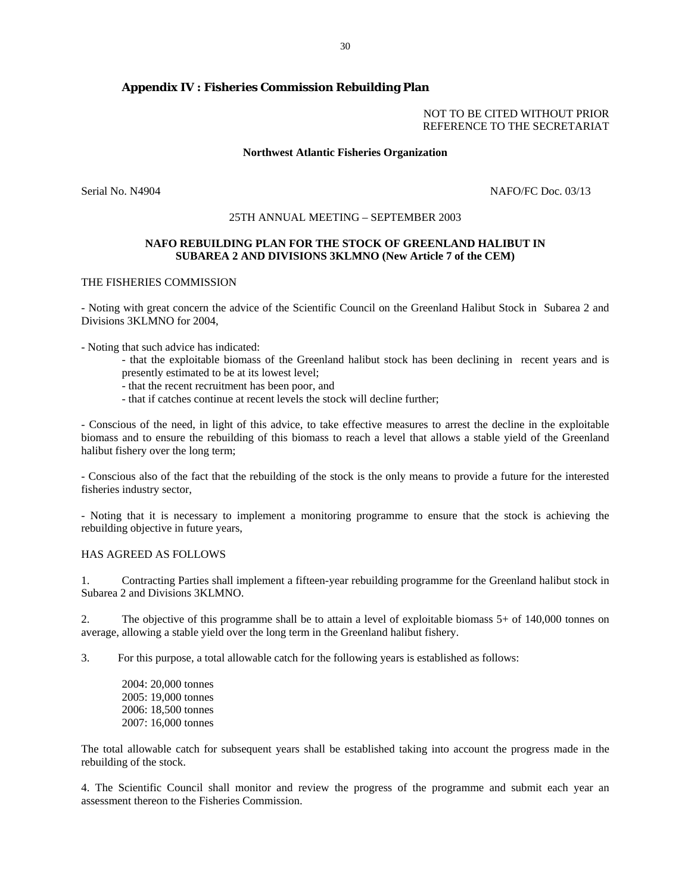### **Appendix IV : Fisheries Commission Rebuilding Plan**

#### NOT TO BE CITED WITHOUT PRIOR REFERENCE TO THE SECRETARIAT

#### **Northwest Atlantic Fisheries Organization**

Serial No. N4904 NAFO/FC Doc. 03/13

#### 25TH ANNUAL MEETING – SEPTEMBER 2003

#### **NAFO REBUILDING PLAN FOR THE STOCK OF GREENLAND HALIBUT IN SUBAREA 2 AND DIVISIONS 3KLMNO (New Article 7 of the CEM)**

#### THE FISHERIES COMMISSION

- Noting with great concern the advice of the Scientific Council on the Greenland Halibut Stock in Subarea 2 and Divisions 3KLMNO for 2004,

- Noting that such advice has indicated:

- that the exploitable biomass of the Greenland halibut stock has been declining in recent years and is presently estimated to be at its lowest level;
- that the recent recruitment has been poor, and
- that if catches continue at recent levels the stock will decline further;

- Conscious of the need, in light of this advice, to take effective measures to arrest the decline in the exploitable biomass and to ensure the rebuilding of this biomass to reach a level that allows a stable yield of the Greenland halibut fishery over the long term;

- Conscious also of the fact that the rebuilding of the stock is the only means to provide a future for the interested fisheries industry sector,

- Noting that it is necessary to implement a monitoring programme to ensure that the stock is achieving the rebuilding objective in future years,

#### HAS AGREED AS FOLLOWS

1. Contracting Parties shall implement a fifteen-year rebuilding programme for the Greenland halibut stock in Subarea 2 and Divisions 3KLMNO.

2. The objective of this programme shall be to attain a level of exploitable biomass 5+ of 140,000 tonnes on average, allowing a stable yield over the long term in the Greenland halibut fishery.

3. For this purpose, a total allowable catch for the following years is established as follows:

2004: 20,000 tonnes 2005: 19,000 tonnes 2006: 18,500 tonnes 2007: 16,000 tonnes

The total allowable catch for subsequent years shall be established taking into account the progress made in the rebuilding of the stock.

4. The Scientific Council shall monitor and review the progress of the programme and submit each year an assessment thereon to the Fisheries Commission.